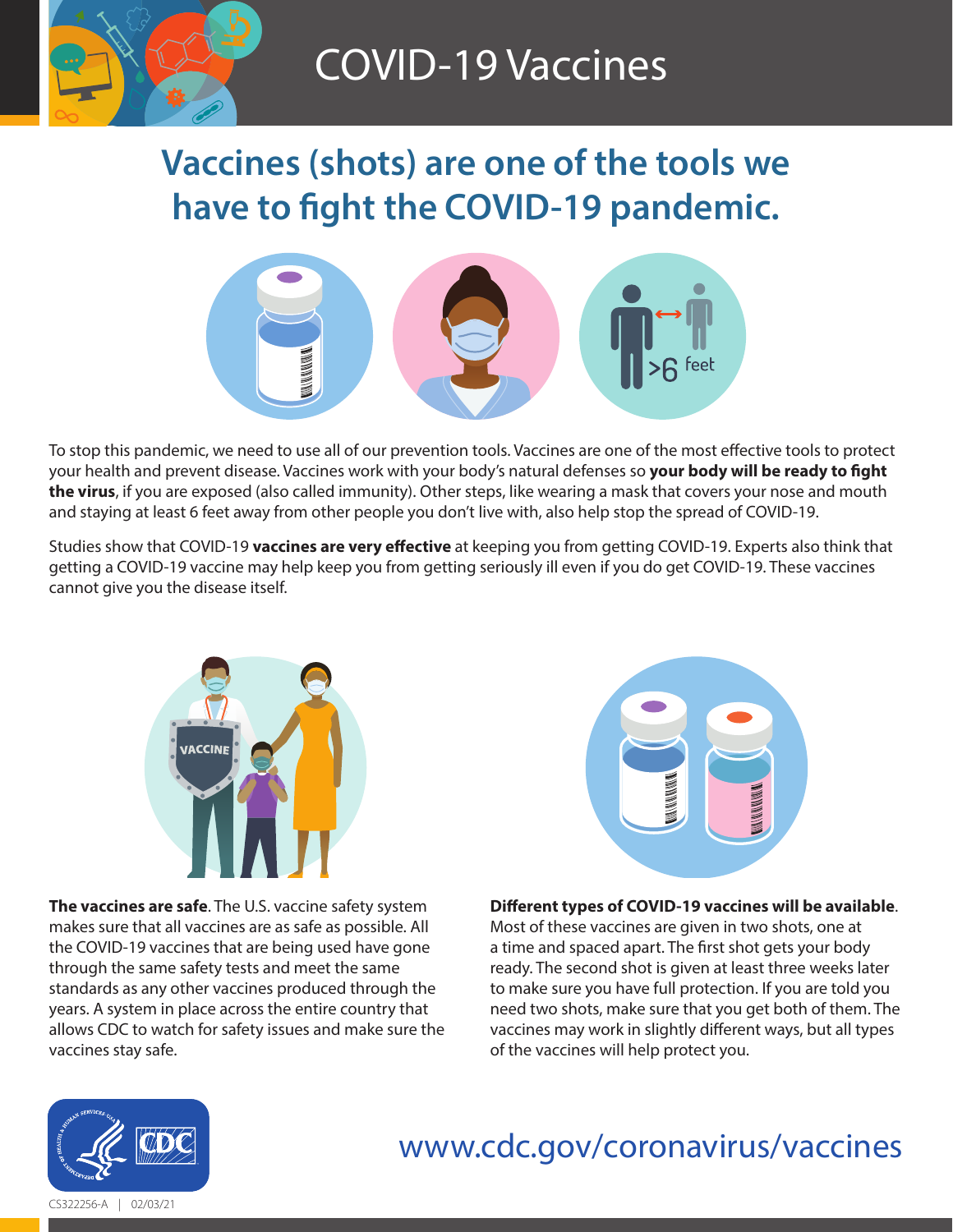

# COVID-19 Vaccines

# **Vaccines (shots) are one of the tools we have to fight the COVID-19 pandemic.**



To stop this pandemic, we need to use all of our prevention tools. Vaccines are one of the most effective tools to protect your health and prevent disease. Vaccines work with your body's natural defenses so **your body will be ready to fight the virus**, if you are exposed (also called immunity). Other steps, like wearing a mask that covers your nose and mouth and staying at least 6 feet away from other people you don't live with, also help stop the spread of COVID-19.

Studies show that COVID-19 **vaccines are very effective** at keeping you from getting COVID-19. Experts also think that getting a COVID-19 vaccine may help keep you from getting seriously ill even if you do get COVID-19. These vaccines cannot give you the disease itself.



**The vaccines are safe**. The U.S. vaccine safety system makes sure that all vaccines are as safe as possible. All the COVID-19 vaccines that are being used have gone through the same safety tests and meet the same standards as any other vaccines produced through the years. A system in place across the entire country that allows CDC to watch for safety issues and make sure the vaccines stay safe.



## **Different types of COVID-19 vaccines will be available**.

Most of these vaccines are given in two shots, one at a time and spaced apart. The first shot gets your body ready. The second shot is given at least three weeks later to make sure you have full protection. If you are told you need two shots, make sure that you get both of them. The vaccines may work in slightly different ways, but all types of the vaccines will help protect you.



### [www.cdc.gov/coronavirus/vaccines](https://www.cdc.gov/coronavirus/vaccines) **Health and Human Services**